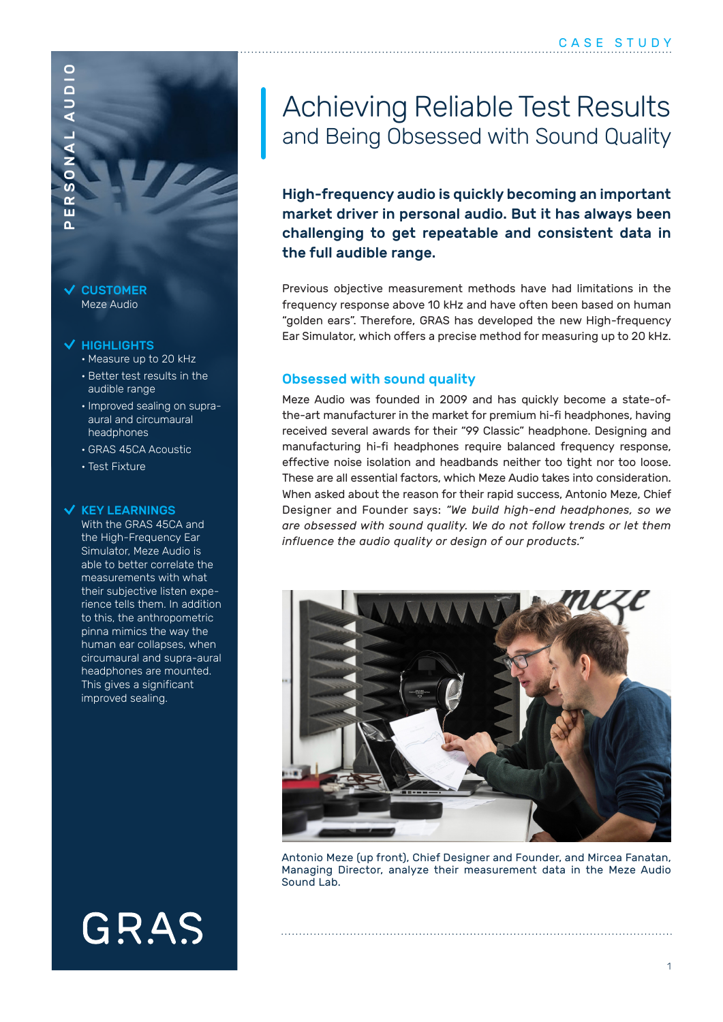## PERSONAL AUDIO $\overline{\bullet}$  $\overline{a}$  $\alpha$ ш  $\Delta$

AUDIO

#### $\vee$  CUSTOMER Meze Audio

### HIGHLIGHTS

- Measure up to 20 kHz
- Better test results in the audible range
- Improved sealing on supraaural and circumaural headphones
- GRAS 45CA Acoustic
- Test Fixture

### $\checkmark$  KEY LEARNINGS

With the GRAS 45CA and the High-Frequency Ear Simulator, Meze Audio is able to better correlate the measurements with what their subjective listen experience tells them. In addition to this, the anthropometric pinna mimics the way the human ear collapses, when circumaural and supra-aural headphones are mounted. This gives a significant improved sealing.

# GRAS

### Achieving Reliable Test Results and Being Obsessed with Sound Quality

High-frequency audio is quickly becoming an important market driver in personal audio. But it has always been challenging to get repeatable and consistent data in the full audible range.

Previous objective measurement methods have had limitations in the frequency response above 10 kHz and have often been based on human "golden ears". Therefore, GRAS has developed the new High-frequency Ear Simulator, which offers a precise method for measuring up to 20 kHz.

### Obsessed with sound quality

Meze Audio was founded in 2009 and has quickly become a state-ofthe-art manufacturer in the market for premium hi-fi headphones, having received several awards for their "99 Classic" headphone. Designing and manufacturing hi-fi headphones require balanced frequency response, effective noise isolation and headbands neither too tight nor too loose. These are all essential factors, which Meze Audio takes into consideration. When asked about the reason for their rapid success, Antonio Meze, Chief Designer and Founder says: *"We build high-end headphones, so we are obsessed with sound quality. We do not follow trends or let them influence the audio quality or design of our products."*



Antonio Meze (up front), Chief Designer and Founder, and Mircea Fanatan, Managing Director, analyze their measurement data in the Meze Audio Sound Lab.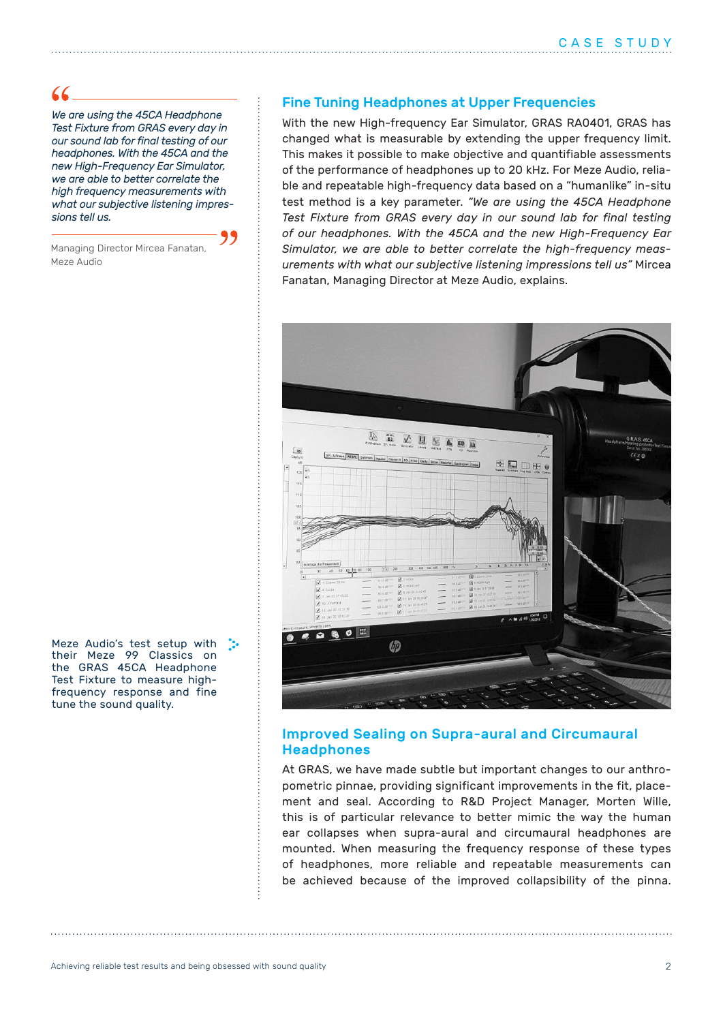$66-$ 

*We are using the 45CA Headphone Test Fixture from GRAS every day in our sound lab for final testing of our headphones. With the 45CA and the new High-Frequency Ear Simulator, we are able to better correlate the high frequency measurements with what our subjective listening impressions tell us.*

Managing Director Mircea Fanatan, Meze Audio

Meze Audio's test setup with : their Meze 99 Classics on the GRAS 45CA Headphone Test Fixture to measure highfrequency response and fine tune the sound quality.

### Fine Tuning Headphones at Upper Frequencies

With the new High-frequency Ear Simulator, GRAS RA0401, GRAS has changed what is measurable by extending the upper frequency limit. This makes it possible to make objective and quantifiable assessments of the performance of headphones up to 20 kHz. For Meze Audio, reliable and repeatable high-frequency data based on a "humanlike" in-situ test method is a key parameter. *"We are using the 45CA Headphone Test Fixture from GRAS every day in our sound lab for final testing of our headphones. With the 45CA and the new High-Frequency Ear Simulator, we are able to better correlate the high-frequency measurements with what our subjective listening impressions tell us"* Mircea Fanatan, Managing Director at Meze Audio, explains.



### Improved Sealing on Supra-aural and Circumaural Headphones

At GRAS, we have made subtle but important changes to our anthropometric pinnae, providing significant improvements in the fit, placement and seal. According to R&D Project Manager, Morten Wille, this is of particular relevance to better mimic the way the human ear collapses when supra-aural and circumaural headphones are mounted. When measuring the frequency response of these types of headphones, more reliable and repeatable measurements can be achieved because of the improved collapsibility of the pinna.